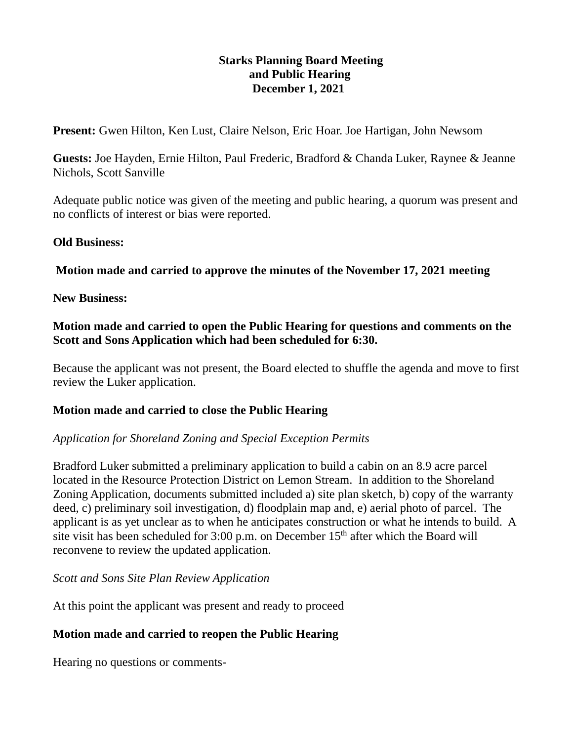# **Starks Planning Board Meeting and Public Hearing December 1, 2021**

**Present:** Gwen Hilton, Ken Lust, Claire Nelson, Eric Hoar. Joe Hartigan, John Newsom

**Guests:** Joe Hayden, Ernie Hilton, Paul Frederic, Bradford & Chanda Luker, Raynee & Jeanne Nichols, Scott Sanville

Adequate public notice was given of the meeting and public hearing, a quorum was present and no conflicts of interest or bias were reported.

## **Old Business:**

**Motion made and carried to approve the minutes of the November 17, 2021 meeting**

## **New Business:**

## **Motion made and carried to open the Public Hearing for questions and comments on the Scott and Sons Application which had been scheduled for 6:30.**

Because the applicant was not present, the Board elected to shuffle the agenda and move to first review the Luker application.

# **Motion made and carried to close the Public Hearing**

#### *Application for Shoreland Zoning and Special Exception Permits*

Bradford Luker submitted a preliminary application to build a cabin on an 8.9 acre parcel located in the Resource Protection District on Lemon Stream. In addition to the Shoreland Zoning Application, documents submitted included a) site plan sketch, b) copy of the warranty deed, c) preliminary soil investigation, d) floodplain map and, e) aerial photo of parcel. The applicant is as yet unclear as to when he anticipates construction or what he intends to build. A site visit has been scheduled for  $3:00$  p.m. on December  $15<sup>th</sup>$  after which the Board will reconvene to review the updated application.

#### *Scott and Sons Site Plan Review Application*

At this point the applicant was present and ready to proceed

# **Motion made and carried to reopen the Public Hearing**

Hearing no questions or comments-